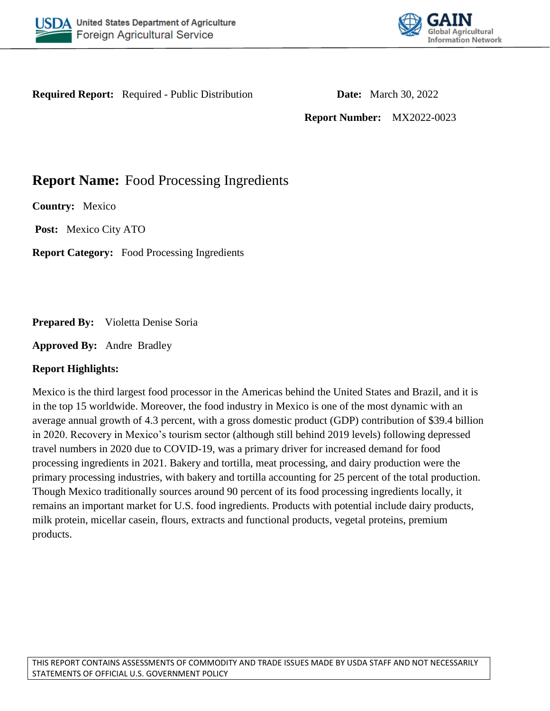



**Required Report:** Required - Public Distribution **Date:** March 30, 2022

**Report Number:** MX2022-0023

# **Report Name:** Food Processing Ingredients

**Country:** Mexico

**Post:** Mexico City ATO

**Report Category:** Food Processing Ingredients

**Prepared By:** Violetta Denise Soria

**Approved By:** Andre Bradley

## **Report Highlights:**

Mexico is the third largest food processor in the Americas behind the United States and Brazil, and it is in the top 15 worldwide. Moreover, the food industry in Mexico is one of the most dynamic with an average annual growth of 4.3 percent, with a gross domestic product (GDP) contribution of \$39.4 billion in 2020. Recovery in Mexico's tourism sector (although still behind 2019 levels) following depressed travel numbers in 2020 due to COVID-19, was a primary driver for increased demand for food processing ingredients in 2021. Bakery and tortilla, meat processing, and dairy production were the primary processing industries, with bakery and tortilla accounting for 25 percent of the total production. Though Mexico traditionally sources around 90 percent of its food processing ingredients locally, it remains an important market for U.S. food ingredients. Products with potential include dairy products, milk protein, micellar casein, flours, extracts and functional products, vegetal proteins, premium products.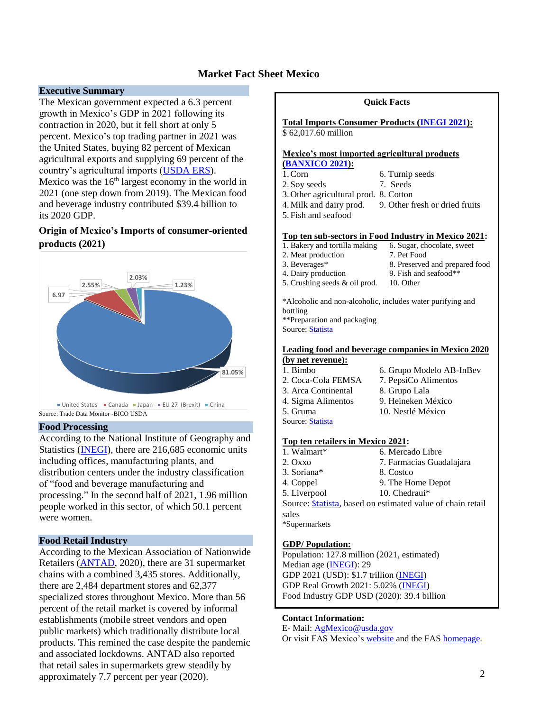### **Market Fact Sheet Mexico**

#### **Executive Summary**

The Mexican government expected a 6.3 percent growth in Mexico's GDP in 2021 following its contraction in 2020, but it fell short at only 5 percent. Mexico's top trading partner in 2021 was the United States, buying 82 percent of Mexican agricultural exports and supplying 69 percent of the country's agricultural imports [\(USDA ERS\)](https://www.ers.usda.gov/topics/international-markets-u-s-trade/countries-regions/usmca-canada-mexico/mexico-trade-fdi/). Mexico was the  $16<sup>th</sup>$  largest economy in the world in 2021 (one step down from 2019). The Mexican food and beverage industry contributed \$39.4 billion to its 2020 GDP.

#### **Origin of Mexico's Imports of consumer-oriented products (2021)**



#### **Food Processing**

According to the National Institute of Geography and Statistics [\(INEGI\)](https://datamexico.org/es/profile/industry/food-manufacturing), there are 216,685 economic units including offices, manufacturing plants, and distribution centers under the industry classification of "food and beverage manufacturing and processing." In the second half of 2021, 1.96 million people worked in this sector, of which 50.1 percent were women.

#### **Food Retail Industry**

According to the Mexican Association of Nationwide Retailers [\(ANTAD,](https://www.antad.net/informeanual/2020/estadisticas.html) 2020), there are 31 supermarket chains with a combined 3,435 stores. Additionally, there are 2,484 department stores and 62,377 specialized stores throughout Mexico. More than 56 percent of the retail market is covered by informal establishments (mobile street vendors and open public markets) which traditionally distribute local products. This remined the case despite the pandemic and associated lockdowns. ANTAD also reported that retail sales in supermarkets grew steadily by approximately 7.7 percent per year (2020).



#### **Contact Information:**

E- Mail: [AgMexico@usda.gov](mailto:AgMexico@usda.gov)

Or visit FAS Mexico's [website](https://mexico-usda.com.mx/) and the FAS [homepage.](https://www.fas.usda.gov/)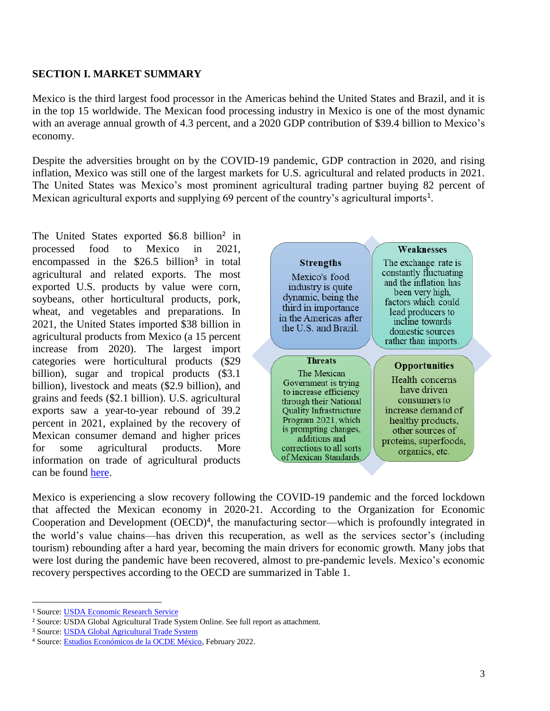### **SECTION I. MARKET SUMMARY**

Mexico is the third largest food processor in the Americas behind the United States and Brazil, and it is in the top 15 worldwide. The Mexican food processing industry in Mexico is one of the most dynamic with an average annual growth of 4.3 percent, and a 2020 GDP contribution of \$39.4 billion to Mexico's economy.

Despite the adversities brought on by the COVID-19 pandemic, GDP contraction in 2020, and rising inflation, Mexico was still one of the largest markets for U.S. agricultural and related products in 2021. The United States was Mexico's most prominent agricultural trading partner buying 82 percent of Mexican agricultural exports and supplying 69 percent of the country's agricultural imports<sup>1</sup>.

The United States exported \$6.8 billion<sup>2</sup> in processed food to Mexico in 2021, encompassed in the  $$26.5$  billion<sup>3</sup> in total agricultural and related exports. The most exported U.S. products by value were corn, soybeans, other horticultural products, pork, wheat, and vegetables and preparations. In 2021, the United States imported \$38 billion in agricultural products from Mexico (a 15 percent increase from 2020). The largest import categories were horticultural products (\$29 billion), sugar and tropical products (\$3.1 billion), livestock and meats (\$2.9 billion), and grains and feeds (\$2.1 billion). U.S. agricultural exports saw a year-to-year rebound of 39.2 percent in 2021, explained by the recovery of Mexican consumer demand and higher prices for some agricultural products. More information on trade of agricultural products can be found [here.](https://www.ers.usda.gov/topics/international-markets-u-s-trade/countries-regions/usmca-canada-mexico/mexico-trade-fdi/)



Mexico is experiencing a slow recovery following the COVID-19 pandemic and the forced lockdown that affected the Mexican economy in 2020-21. According to the Organization for Economic Cooperation and Development (OECD)<sup>4</sup>, the manufacturing sector—which is profoundly integrated in the world's value chains—has driven this recuperation, as well as the services sector's (including tourism) rebounding after a hard year, becoming the main drivers for economic growth. Many jobs that were lost during the pandemic have been recovered, almost to pre-pandemic levels. Mexico's economic recovery perspectives according to the OECD are summarized in Table 1.

 $\overline{\phantom{a}}$ 

<sup>1</sup> Source: [USDA Economic Research Service](https://www.ers.usda.gov/topics/international-markets-u-s-trade/countries-regions/usmca-canada-mexico/mexico-trade-fdi/)

<sup>2</sup> Source: USDA Global Agricultural Trade System Online. See full report as attachment.

<sup>&</sup>lt;sup>3</sup> Source: **USDA Global Agricultural Trade System** 

<sup>4</sup> Source: [Estudios Económicos de la OCDE México,](https://www.oecd.org/economy/panorama-economico-mexico/) February 2022.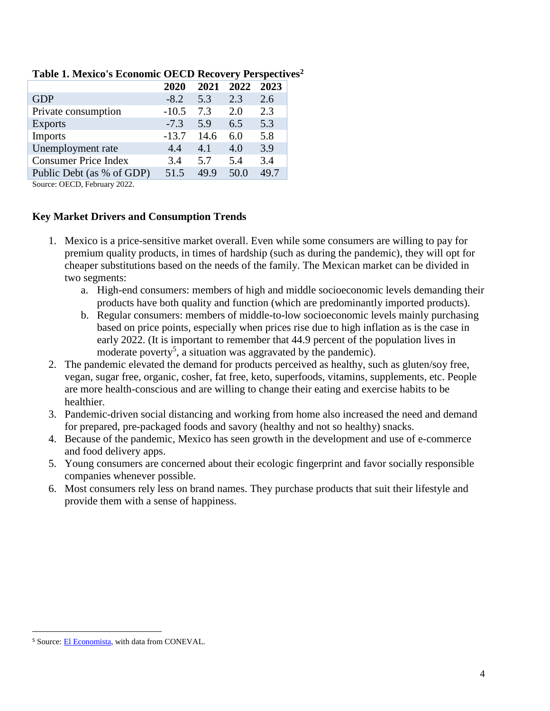|                             | 2020    | 2021 | 2022 | 2023 |
|-----------------------------|---------|------|------|------|
| <b>GDP</b>                  | $-8.2$  | 5.3  | 2.3  | 2.6  |
| Private consumption         | $-10.5$ | 7.3  | 2.0  | 2.3  |
| <b>Exports</b>              | $-7.3$  | 5.9  | 6.5  | 5.3  |
| <b>Imports</b>              | $-13.7$ | 14.6 | 6.0  | 5.8  |
| Unemployment rate           | 4.4     | 4.1  | 4.0  | 3.9  |
| <b>Consumer Price Index</b> | 3.4     | 5.7  | 5.4  | 3.4  |
| Public Debt (as % of GDP)   | 51.5    | 49.9 | 50.0 | 49.7 |

#### **Table 1. Mexico's Economic OECD Recovery Perspectives<sup>2</sup>**

Source: OECD, February 2022.

## **Key Market Drivers and Consumption Trends**

- 1. Mexico is a price-sensitive market overall. Even while some consumers are willing to pay for premium quality products, in times of hardship (such as during the pandemic), they will opt for cheaper substitutions based on the needs of the family. The Mexican market can be divided in two segments:
	- a. High-end consumers: members of high and middle socioeconomic levels demanding their products have both quality and function (which are predominantly imported products).
	- b. Regular consumers: members of middle-to-low socioeconomic levels mainly purchasing based on price points, especially when prices rise due to high inflation as is the case in early 2022. (It is important to remember that 44.9 percent of the population lives in moderate poverty<sup>5</sup>, a situation was aggravated by the pandemic).
- 2. The pandemic elevated the demand for products perceived as healthy, such as gluten/soy free, vegan, sugar free, organic, cosher, fat free, keto, superfoods, vitamins, supplements, etc. People are more health-conscious and are willing to change their eating and exercise habits to be healthier.
- 3. Pandemic-driven social distancing and working from home also increased the need and demand for prepared, pre-packaged foods and savory (healthy and not so healthy) snacks.
- 4. Because of the pandemic, Mexico has seen growth in the development and use of e-commerce and food delivery apps.
- 5. Young consumers are concerned about their ecologic fingerprint and favor socially responsible companies whenever possible.
- 6. Most consumers rely less on brand names. They purchase products that suit their lifestyle and provide them with a sense of happiness.

 $\overline{a}$ 

<sup>&</sup>lt;sup>5</sup> Source: **El Economista**, with data from CONEVAL.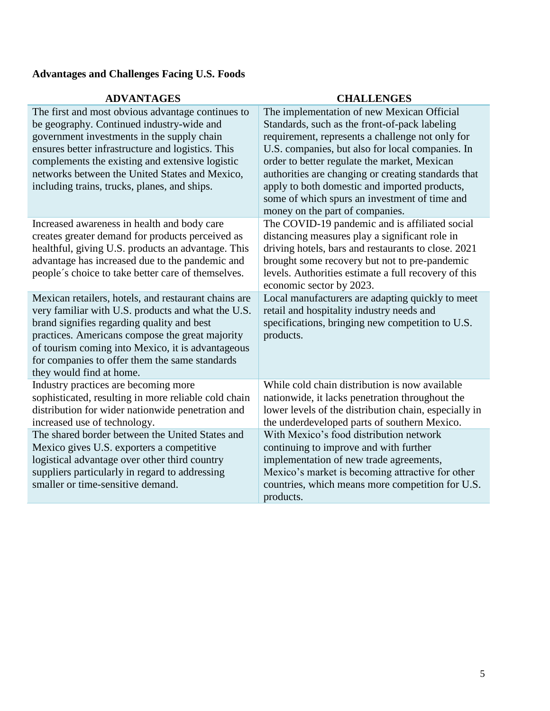# **Advantages and Challenges Facing U.S. Foods**

| <b>ADVANIAGES</b>                                                                                                                                                                                                                                                                                                                                      | <b>UTALLENGES</b>                                                                                                                                                                                                                                                                                                                                                                                                                               |
|--------------------------------------------------------------------------------------------------------------------------------------------------------------------------------------------------------------------------------------------------------------------------------------------------------------------------------------------------------|-------------------------------------------------------------------------------------------------------------------------------------------------------------------------------------------------------------------------------------------------------------------------------------------------------------------------------------------------------------------------------------------------------------------------------------------------|
| The first and most obvious advantage continues to<br>be geography. Continued industry-wide and<br>government investments in the supply chain<br>ensures better infrastructure and logistics. This<br>complements the existing and extensive logistic<br>networks between the United States and Mexico,<br>including trains, trucks, planes, and ships. | The implementation of new Mexican Official<br>Standards, such as the front-of-pack labeling<br>requirement, represents a challenge not only for<br>U.S. companies, but also for local companies. In<br>order to better regulate the market, Mexican<br>authorities are changing or creating standards that<br>apply to both domestic and imported products,<br>some of which spurs an investment of time and<br>money on the part of companies. |
| Increased awareness in health and body care<br>creates greater demand for products perceived as<br>healthful, giving U.S. products an advantage. This<br>advantage has increased due to the pandemic and<br>people's choice to take better care of themselves.                                                                                         | The COVID-19 pandemic and is affiliated social<br>distancing measures play a significant role in<br>driving hotels, bars and restaurants to close. 2021<br>brought some recovery but not to pre-pandemic<br>levels. Authorities estimate a full recovery of this<br>economic sector by 2023.                                                                                                                                                    |
| Mexican retailers, hotels, and restaurant chains are<br>very familiar with U.S. products and what the U.S.<br>brand signifies regarding quality and best<br>practices. Americans compose the great majority<br>of tourism coming into Mexico, it is advantageous<br>for companies to offer them the same standards<br>they would find at home.         | Local manufacturers are adapting quickly to meet<br>retail and hospitality industry needs and<br>specifications, bringing new competition to U.S.<br>products.                                                                                                                                                                                                                                                                                  |
| Industry practices are becoming more<br>sophisticated, resulting in more reliable cold chain<br>distribution for wider nationwide penetration and<br>increased use of technology.                                                                                                                                                                      | While cold chain distribution is now available<br>nationwide, it lacks penetration throughout the<br>lower levels of the distribution chain, especially in<br>the underdeveloped parts of southern Mexico.                                                                                                                                                                                                                                      |
| The shared border between the United States and<br>Mexico gives U.S. exporters a competitive<br>logistical advantage over other third country<br>suppliers particularly in regard to addressing<br>smaller or time-sensitive demand.                                                                                                                   | With Mexico's food distribution network<br>continuing to improve and with further<br>implementation of new trade agreements,<br>Mexico's market is becoming attractive for other<br>countries, which means more competition for U.S.<br>products.                                                                                                                                                                                               |

# **ADVANTAGES CHALLENGES**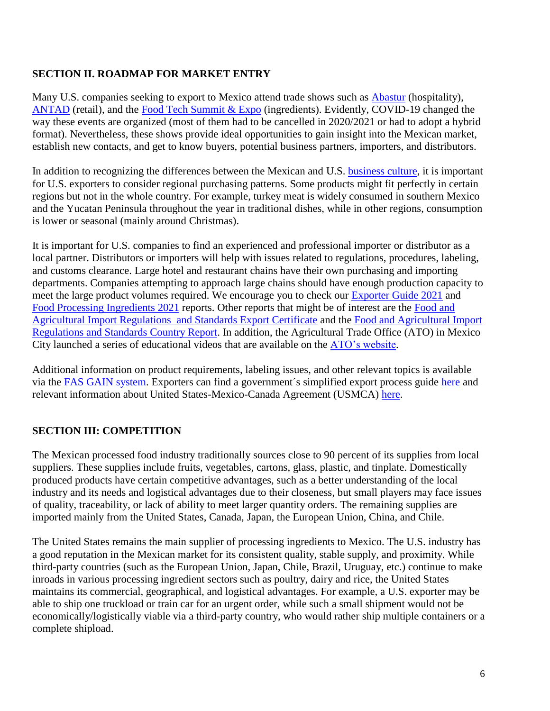## **SECTION II. ROADMAP FOR MARKET ENTRY**

Many U.S. companies seeking to export to Mexico attend trade shows such as [Abastur](https://www.abastur.com/es/home.html) (hospitality), [ANTAD](https://expoantad.com.mx/) (retail), and the [Food Tech Summit & Expo](https://thefoodtech.com/summit-expo/) (ingredients). Evidently, COVID-19 changed the way these events are organized (most of them had to be cancelled in 2020/2021 or had to adopt a hybrid format). Nevertheless, these shows provide ideal opportunities to gain insight into the Mexican market, establish new contacts, and get to know buyers, potential business partners, importers, and distributors.

In addition to recognizing the differences between the Mexican and U.S. [business culture,](https://www.trade.gov/mexico-country-commercial-guide) it is important for U.S. exporters to consider regional purchasing patterns. Some products might fit perfectly in certain regions but not in the whole country. For example, turkey meat is widely consumed in southern Mexico and the Yucatan Peninsula throughout the year in traditional dishes, while in other regions, consumption is lower or seasonal (mainly around Christmas).

It is important for U.S. companies to find an experienced and professional importer or distributor as a local partner. Distributors or importers will help with issues related to regulations, procedures, labeling, and customs clearance. Large hotel and restaurant chains have their own purchasing and importing departments. Companies attempting to approach large chains should have enough production capacity to meet the large product volumes required. We encourage you to check our [Exporter Guide](https://apps.fas.usda.gov/newgainapi/api/Report/DownloadReportByFileName?fileName=Exporter%20Guide_Mexico%20City%20ATO_Mexico_12-31-2021) 2021 and [Food Processing Ingredients 2021](https://apps.fas.usda.gov/newgainapi/api/Report/DownloadReportByFileName?fileName=Food%20Processing%20Ingredients_Mexico%20CIty%20ATO_Mexico_03-30-2021) reports. Other reports that might be of interest are the [Food and](https://apps.fas.usda.gov/newgainapi/api/Report/DownloadReportByFileName?fileName=Food%20and%20Agricultural%20Import%20Regulations%20and%20Standards%20Export%20Certificate%20Report_Monterrey%20ATO_Mexico_12-31-2021)  [Agricultural Import Regulations and Standards Export Certificate](https://apps.fas.usda.gov/newgainapi/api/Report/DownloadReportByFileName?fileName=Food%20and%20Agricultural%20Import%20Regulations%20and%20Standards%20Export%20Certificate%20Report_Monterrey%20ATO_Mexico_12-31-2021) and the [Food and Agricultural Import](https://apps.fas.usda.gov/newgainapi/api/Report/DownloadReportByFileName?fileName=Food%20and%20Agricultural%20Import%20Regulations%20and%20Standards%20Country%20Report_Monterrey%20ATO_Mexico_12-31-2021)  [Regulations and Standards Country Report.](https://apps.fas.usda.gov/newgainapi/api/Report/DownloadReportByFileName?fileName=Food%20and%20Agricultural%20Import%20Regulations%20and%20Standards%20Country%20Report_Monterrey%20ATO_Mexico_12-31-2021) In addition, the Agricultural Trade Office (ATO) in Mexico City launched a series of educational videos that are available on the [ATO's website.](https://mexico-usda.com.mx/)

Additional information on product requirements, labeling issues, and other relevant topics is available via the [FAS GAIN system.](https://gain.fas.usda.gov/) Exporters can find a government´s simplified export process guide [here](https://www.trade.gov/simplified-process-exporting-mexico) and relevant information about United States-Mexico-Canada Agreement (USMCA) [here.](https://www.trade.gov/usmca)

## **SECTION III: COMPETITION**

The Mexican processed food industry traditionally sources close to 90 percent of its supplies from local suppliers. These supplies include fruits, vegetables, cartons, glass, plastic, and tinplate. Domestically produced products have certain competitive advantages, such as a better understanding of the local industry and its needs and logistical advantages due to their closeness, but small players may face issues of quality, traceability, or lack of ability to meet larger quantity orders. The remaining supplies are imported mainly from the United States, Canada, Japan, the European Union, China, and Chile.

The United States remains the main supplier of processing ingredients to Mexico. The U.S. industry has a good reputation in the Mexican market for its consistent quality, stable supply, and proximity. While third-party countries (such as the European Union, Japan, Chile, Brazil, Uruguay, etc.) continue to make inroads in various processing ingredient sectors such as poultry, dairy and rice, the United States maintains its commercial, geographical, and logistical advantages. For example, a U.S. exporter may be able to ship one truckload or train car for an urgent order, while such a small shipment would not be economically/logistically viable via a third-party country, who would rather ship multiple containers or a complete shipload.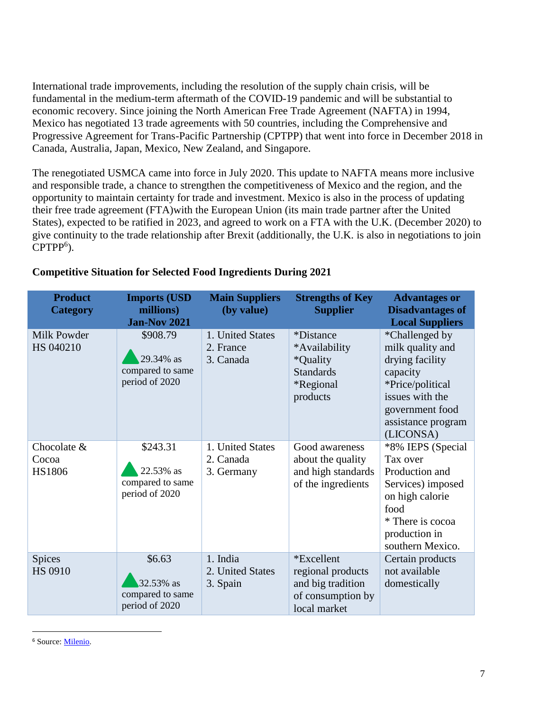International trade improvements, including the resolution of the supply chain crisis, will be fundamental in the medium-term aftermath of the COVID-19 pandemic and will be substantial to economic recovery. Since joining the North American Free Trade Agreement (NAFTA) in 1994, Mexico has negotiated 13 trade agreements with 50 countries, including the Comprehensive and Progressive Agreement for Trans-Pacific Partnership (CPTPP) that went into force in December 2018 in Canada, Australia, Japan, Mexico, New Zealand, and Singapore.

The renegotiated USMCA came into force in July 2020. This update to NAFTA means more inclusive and responsible trade, a chance to strengthen the competitiveness of Mexico and the region, and the opportunity to maintain certainty for trade and investment. Mexico is also in the process of updating their free trade agreement (FTA)with the European Union (its main trade partner after the United States), expected to be ratified in 2023, and agreed to work on a FTA with the U.K. (December 2020) to give continuity to the trade relationship after Brexit (additionally, the U.K. is also in negotiations to join CPTPP<sup>6</sup>).

| <b>Product</b><br><b>Category</b>     | <b>Imports (USD</b><br>millions)<br><b>Jan-Nov 2021</b>     | <b>Main Suppliers</b><br>(by value)         | <b>Strengths of Key</b><br><b>Supplier</b>                                                 | <b>Advantages or</b><br><b>Disadvantages of</b><br><b>Local Suppliers</b>                                                                                      |
|---------------------------------------|-------------------------------------------------------------|---------------------------------------------|--------------------------------------------------------------------------------------------|----------------------------------------------------------------------------------------------------------------------------------------------------------------|
| Milk Powder<br>HS 040210              | \$908.79<br>29.34% as<br>compared to same<br>period of 2020 | 1. United States<br>2. France<br>3. Canada  | <i>*Distance</i><br>*Availability<br>*Quality<br><b>Standards</b><br>*Regional<br>products | *Challenged by<br>milk quality and<br>drying facility<br>capacity<br>*Price/political<br>issues with the<br>government food<br>assistance program<br>(LICONSA) |
| Chocolate &<br>Cocoa<br><b>HS1806</b> | \$243.31<br>22.53% as<br>compared to same<br>period of 2020 | 1. United States<br>2. Canada<br>3. Germany | Good awareness<br>about the quality<br>and high standards<br>of the ingredients            | *8% IEPS (Special<br>Tax over<br>Production and<br>Services) imposed<br>on high calorie<br>food<br>* There is cocoa<br>production in<br>southern Mexico.       |
| Spices<br><b>HS 0910</b>              | \$6.63<br>32.53% as<br>compared to same<br>period of 2020   | 1. India<br>2. United States<br>3. Spain    | *Excellent<br>regional products<br>and big tradition<br>of consumption by<br>local market  | Certain products<br>not available<br>domestically                                                                                                              |

#### **Competitive Situation for Selected Food Ingredients During 2021**

 $\overline{a}$ 

<sup>6</sup> Source: [Milenio.](https://www.milenio.com/opinion/lord-mayor-vincent-keaveny/columna-lord-mayor-vincent-keaveny/reino-unido-mexico-estrechan-lazos-comerciales-financieros)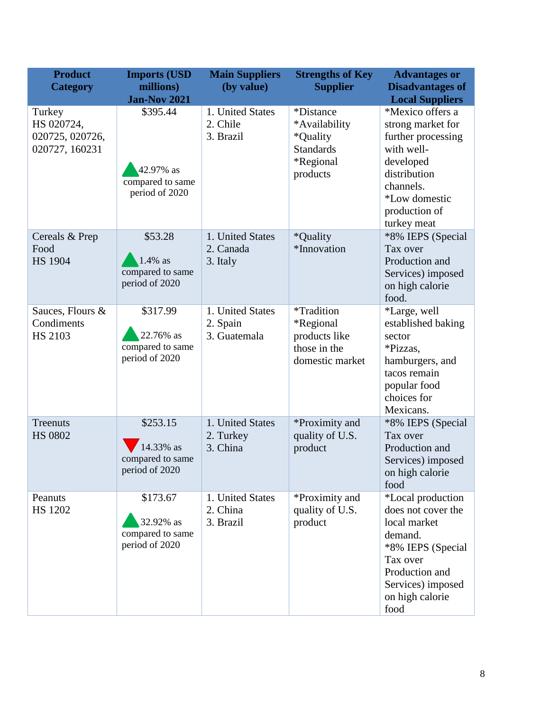| <b>Product</b><br><b>Category</b>                         | <b>Imports (USD</b><br>millions)<br><b>Jan-Nov 2021</b>     | <b>Main Suppliers</b><br>(by value)          | <b>Strengths of Key</b><br><b>Supplier</b>                                                 | <b>Advantages or</b><br><b>Disadvantages of</b><br><b>Local Suppliers</b>                                                                                             |
|-----------------------------------------------------------|-------------------------------------------------------------|----------------------------------------------|--------------------------------------------------------------------------------------------|-----------------------------------------------------------------------------------------------------------------------------------------------------------------------|
| Turkey<br>HS 020724,<br>020725, 020726,<br>020727, 160231 | \$395.44<br>42.97% as<br>compared to same<br>period of 2020 | 1. United States<br>2. Chile<br>3. Brazil    | <i>*Distance</i><br>*Availability<br>*Quality<br><b>Standards</b><br>*Regional<br>products | *Mexico offers a<br>strong market for<br>further processing<br>with well-<br>developed<br>distribution<br>channels.<br>*Low domestic<br>production of<br>turkey meat  |
| Cereals & Prep<br>Food<br><b>HS 1904</b>                  | \$53.28<br>1.4% as<br>compared to same<br>period of 2020    | 1. United States<br>2. Canada<br>3. Italy    | *Quality<br>*Innovation                                                                    | *8% IEPS (Special<br>Tax over<br>Production and<br>Services) imposed<br>on high calorie<br>food.                                                                      |
| Sauces, Flours &<br>Condiments<br><b>HS 2103</b>          | \$317.99<br>22.76% as<br>compared to same<br>period of 2020 | 1. United States<br>2. Spain<br>3. Guatemala | *Tradition<br>*Regional<br>products like<br>those in the<br>domestic market                | *Large, well<br>established baking<br>sector<br>*Pizzas,<br>hamburgers, and<br>tacos remain<br>popular food<br>choices for<br>Mexicans.                               |
| Treenuts<br><b>HS 0802</b>                                | \$253.15<br>14.33% as<br>compared to same<br>period of 2020 | 1. United States<br>2. Turkey<br>3. China    | *Proximity and<br>quality of U.S.<br>product                                               | *8% IEPS (Special<br>Tax over<br>Production and<br>Services) imposed<br>on high calorie<br>food                                                                       |
| Peanuts<br><b>HS 1202</b>                                 | \$173.67<br>32.92% as<br>compared to same<br>period of 2020 | 1. United States<br>2. China<br>3. Brazil    | *Proximity and<br>quality of U.S.<br>product                                               | *Local production<br>does not cover the<br>local market<br>demand.<br>*8% IEPS (Special<br>Tax over<br>Production and<br>Services) imposed<br>on high calorie<br>food |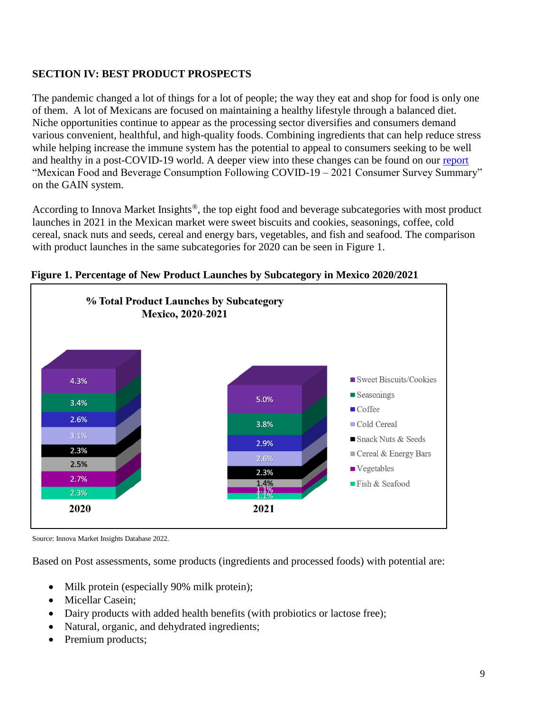## **SECTION IV: BEST PRODUCT PROSPECTS**

The pandemic changed a lot of things for a lot of people; the way they eat and shop for food is only one of them. A lot of Mexicans are focused on maintaining a healthy lifestyle through a balanced diet. Niche opportunities continue to appear as the processing sector diversifies and consumers demand various convenient, healthful, and high-quality foods. Combining ingredients that can help reduce stress while helping increase the immune system has the potential to appeal to consumers seeking to be well and healthy in a post-COVID-19 world. A deeper view into these changes can be found on our [report](https://apps.fas.usda.gov/newgainapi/api/Report/DownloadReportByFileName?fileName=Mexican%20Food%20and%20Beverage%20Consumption%20Following%20COVID--2021%20Consumer%20Survey%20Summary_Mexico%20City%20ATO_Mexico_01-31-2022) "Mexican Food and Beverage Consumption Following COVID-19 – 2021 Consumer Survey Summary" on the GAIN system.

According to Innova Market Insights®, the top eight food and beverage subcategories with most product launches in 2021 in the Mexican market were sweet biscuits and cookies, seasonings, coffee, cold cereal, snack nuts and seeds, cereal and energy bars, vegetables, and fish and seafood. The comparison with product launches in the same subcategories for 2020 can be seen in Figure 1.



### **Figure 1. Percentage of New Product Launches by Subcategory in Mexico 2020/2021**

Source: Innova Market Insights Database 2022.

Based on Post assessments, some products (ingredients and processed foods) with potential are:

- Milk protein (especially 90% milk protein);
- Micellar Casein;
- Dairy products with added health benefits (with probiotics or lactose free);
- Natural, organic, and dehydrated ingredients;
- Premium products;